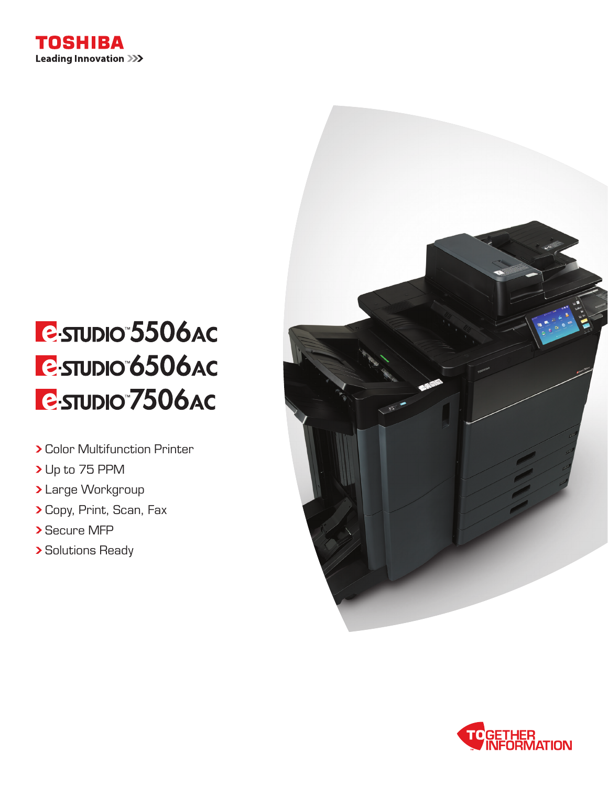

# **E**STUDIO 5506AC **E-STUDIO 6506AC E**STUDIO 7506AC

- Color Multifunction Printer
- > Up to 75 PPM
- Large Workgroup
- Copy, Print, Scan, Fax
- > Secure MFP
- **> Solutions Ready**